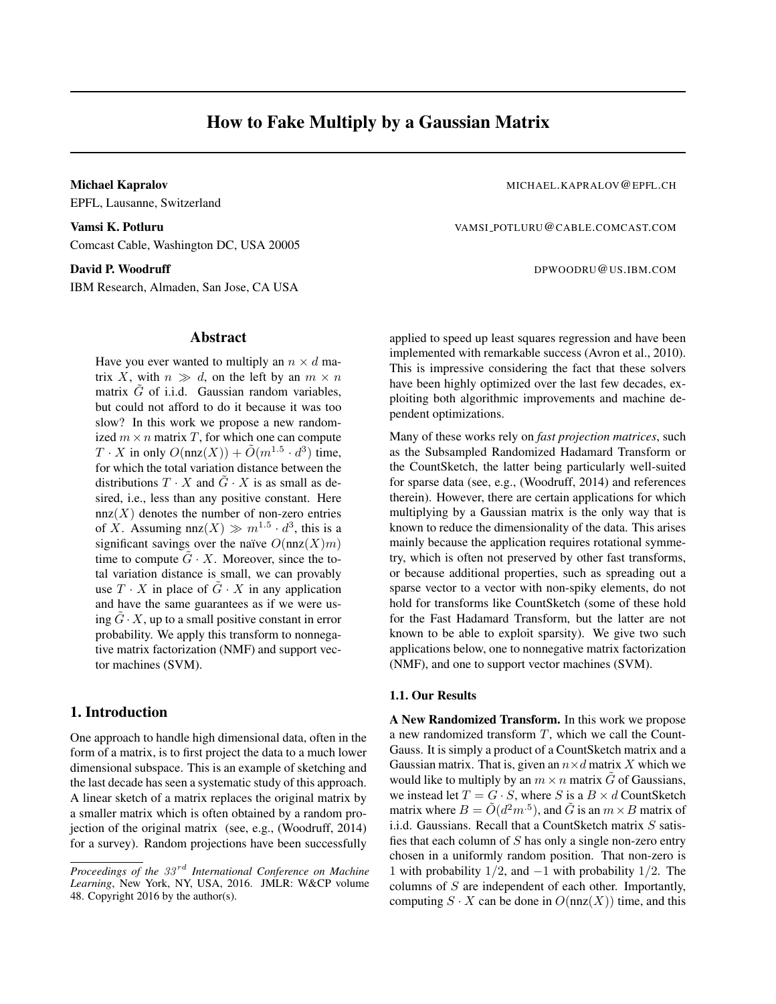EPFL, Lausanne, Switzerland

VAMSI\_POTLURU@CABLE.COMCAST.COM Comcast Cable, Washington DC, USA 20005

IBM Research, Almaden, San Jose, CA USA

# Abstract

Have you ever wanted to multiply an  $n \times d$  matrix X, with  $n \gg d$ , on the left by an  $m \times n$ matrix  $\tilde{G}$  of i.i.d. Gaussian random variables, but could not afford to do it because it was too slow? In this work we propose a new randomized  $m \times n$  matrix T, for which one can compute  $T \cdot X$  in only  $O(\text{nnz}(X)) + \tilde{O}(m^{1.5} \cdot d^3)$  time, for which the total variation distance between the distributions  $T \cdot X$  and  $\tilde{G} \cdot X$  is as small as desired, i.e., less than any positive constant. Here  $nnz(X)$  denotes the number of non-zero entries of X. Assuming nnz $(X) \gg m^{1.5} \cdot d^3$ , this is a significant savings over the naïve  $O(nnz(X)m)$ time to compute  $\tilde{G} \cdot X$ . Moreover, since the total variation distance is small, we can provably use  $T \cdot X$  in place of  $G \cdot X$  in any application and have the same guarantees as if we were using  $\tilde{G} \cdot X$ , up to a small positive constant in error probability. We apply this transform to nonnegative matrix factorization (NMF) and support vector machines (SVM).

# 1. Introduction

One approach to handle high dimensional data, often in the form of a matrix, is to first project the data to a much lower dimensional subspace. This is an example of sketching and the last decade has seen a systematic study of this approach. A linear sketch of a matrix replaces the original matrix by a smaller matrix which is often obtained by a random projection of the original matrix (see, e.g., (Woodruff, 2014) for a survey). Random projections have been successfully

Michael Kapralov MICHAEL.KAPRALOV@EPFL.CH

David P. Woodruff **Democratic Properties of the DPWOODRU@US.IBM.COM** 

applied to speed up least squares regression and have been implemented with remarkable success (Avron et al., 2010). This is impressive considering the fact that these solvers have been highly optimized over the last few decades, exploiting both algorithmic improvements and machine dependent optimizations.

Many of these works rely on *fast projection matrices*, such as the Subsampled Randomized Hadamard Transform or the CountSketch, the latter being particularly well-suited for sparse data (see, e.g., (Woodruff, 2014) and references therein). However, there are certain applications for which multiplying by a Gaussian matrix is the only way that is known to reduce the dimensionality of the data. This arises mainly because the application requires rotational symmetry, which is often not preserved by other fast transforms, or because additional properties, such as spreading out a sparse vector to a vector with non-spiky elements, do not hold for transforms like CountSketch (some of these hold for the Fast Hadamard Transform, but the latter are not known to be able to exploit sparsity). We give two such applications below, one to nonnegative matrix factorization (NMF), and one to support vector machines (SVM).

#### 1.1. Our Results

A New Randomized Transform. In this work we propose a new randomized transform T, which we call the Count-Gauss. It is simply a product of a CountSketch matrix and a Gaussian matrix. That is, given an  $n \times d$  matrix X which we would like to multiply by an  $m \times n$  matrix G of Gaussians, we instead let  $T = G \cdot S$ , where S is a  $B \times d$  CountSketch matrix where  $B = \tilde{O}(d^2m^{-5})$ , and  $\tilde{G}$  is an  $m \times B$  matrix of i.i.d. Gaussians. Recall that a CountSketch matrix  $S$  satisfies that each column of  $S$  has only a single non-zero entry chosen in a uniformly random position. That non-zero is 1 with probability  $1/2$ , and  $-1$  with probability  $1/2$ . The columns of  $S$  are independent of each other. Importantly, computing  $S \cdot X$  can be done in  $O(\text{nnz}(X))$  time, and this

*Proceedings of the 33<sup>rd</sup> International Conference on Machine Learning*, New York, NY, USA, 2016. JMLR: W&CP volume 48. Copyright 2016 by the author(s).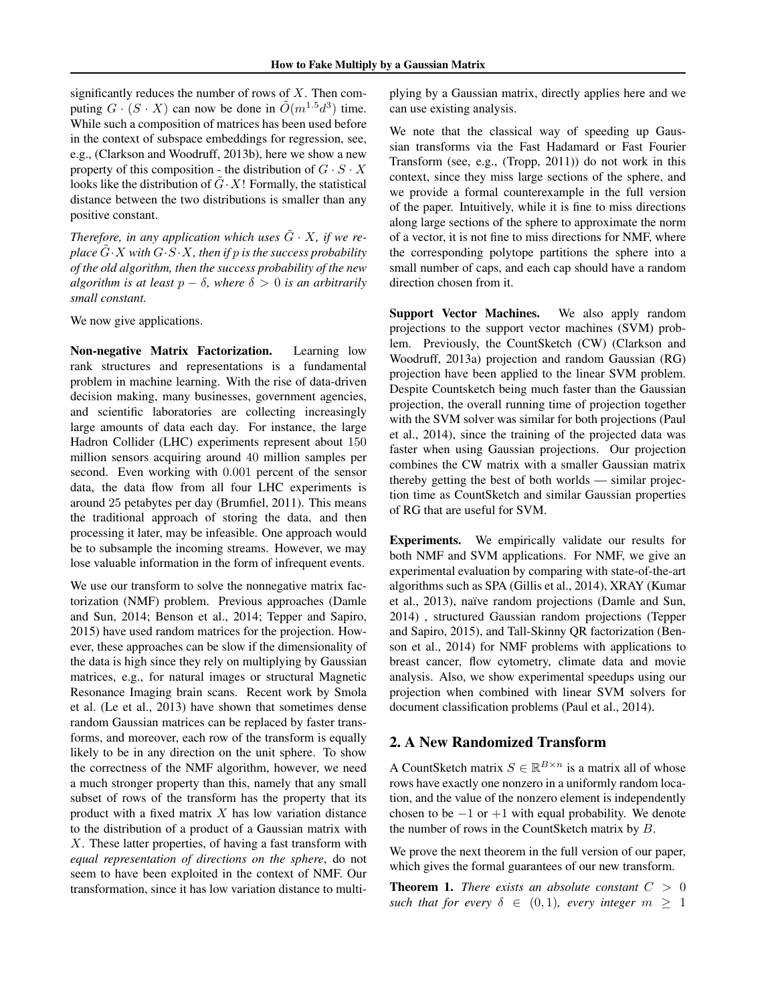significantly reduces the number of rows of  $X$ . Then computing  $G \cdot (S \cdot X)$  can now be done in  $\tilde{O}(m^{1.5}d^3)$  time. While such a composition of matrices has been used before in the context of subspace embeddings for regression, see, e.g., (Clarkson and Woodruff, 2013b), here we show a new property of this composition - the distribution of  $G \cdot S \cdot X$ looks like the distribution of  $\tilde{G} \cdot X!$  Formally, the statistical distance between the two distributions is smaller than any positive constant.

*Therefore, in any application which uses*  $\tilde{G} \cdot X$ *, if we replace*  $G \cdot X$  *with*  $G \cdot S \cdot X$ *, then if* p *is the success probability of the old algorithm, then the success probability of the new algorithm is at least*  $p − δ$ *, where*  $δ > 0$  *is an arbitrarily small constant.*

We now give applications.

Non-negative Matrix Factorization. Learning low rank structures and representations is a fundamental problem in machine learning. With the rise of data-driven decision making, many businesses, government agencies, and scientific laboratories are collecting increasingly large amounts of data each day. For instance, the large Hadron Collider (LHC) experiments represent about 150 million sensors acquiring around 40 million samples per second. Even working with 0.001 percent of the sensor data, the data flow from all four LHC experiments is around 25 petabytes per day (Brumfiel, 2011). This means the traditional approach of storing the data, and then processing it later, may be infeasible. One approach would be to subsample the incoming streams. However, we may lose valuable information in the form of infrequent events.

We use our transform to solve the nonnegative matrix factorization (NMF) problem. Previous approaches (Damle and Sun, 2014; Benson et al., 2014; Tepper and Sapiro, 2015) have used random matrices for the projection. However, these approaches can be slow if the dimensionality of the data is high since they rely on multiplying by Gaussian matrices, e.g., for natural images or structural Magnetic Resonance Imaging brain scans. Recent work by Smola et al. (Le et al., 2013) have shown that sometimes dense random Gaussian matrices can be replaced by faster transforms, and moreover, each row of the transform is equally likely to be in any direction on the unit sphere. To show the correctness of the NMF algorithm, however, we need a much stronger property than this, namely that any small subset of rows of the transform has the property that its product with a fixed matrix  $X$  has low variation distance to the distribution of a product of a Gaussian matrix with X. These latter properties, of having a fast transform with *equal representation of directions on the sphere*, do not seem to have been exploited in the context of NMF. Our transformation, since it has low variation distance to multiplying by a Gaussian matrix, directly applies here and we can use existing analysis.

We note that the classical way of speeding up Gaussian transforms via the Fast Hadamard or Fast Fourier Transform (see, e.g., (Tropp, 2011)) do not work in this context, since they miss large sections of the sphere, and we provide a formal counterexample in the full version of the paper. Intuitively, while it is fine to miss directions along large sections of the sphere to approximate the norm of a vector, it is not fine to miss directions for NMF, where the corresponding polytope partitions the sphere into a small number of caps, and each cap should have a random direction chosen from it.

Support Vector Machines. We also apply random projections to the support vector machines (SVM) problem. Previously, the CountSketch (CW) (Clarkson and Woodruff, 2013a) projection and random Gaussian (RG) projection have been applied to the linear SVM problem. Despite Countsketch being much faster than the Gaussian projection, the overall running time of projection together with the SVM solver was similar for both projections (Paul et al., 2014), since the training of the projected data was faster when using Gaussian projections. Our projection combines the CW matrix with a smaller Gaussian matrix thereby getting the best of both worlds — similar projection time as CountSketch and similar Gaussian properties of RG that are useful for SVM.

Experiments. We empirically validate our results for both NMF and SVM applications. For NMF, we give an experimental evaluation by comparing with state-of-the-art algorithms such as SPA (Gillis et al., 2014), XRAY (Kumar et al., 2013), naïve random projections (Damle and Sun, 2014) , structured Gaussian random projections (Tepper and Sapiro, 2015), and Tall-Skinny QR factorization (Benson et al., 2014) for NMF problems with applications to breast cancer, flow cytometry, climate data and movie analysis. Also, we show experimental speedups using our projection when combined with linear SVM solvers for document classification problems (Paul et al., 2014).

# 2. A New Randomized Transform

A CountSketch matrix  $S \in \mathbb{R}^{B \times n}$  is a matrix all of whose rows have exactly one nonzero in a uniformly random location, and the value of the nonzero element is independently chosen to be  $-1$  or  $+1$  with equal probability. We denote the number of rows in the CountSketch matrix by B.

We prove the next theorem in the full version of our paper, which gives the formal guarantees of our new transform.

**Theorem 1.** *There exists an absolute constant*  $C > 0$ *such that for every*  $\delta \in (0,1)$ *, every integer*  $m \geq 1$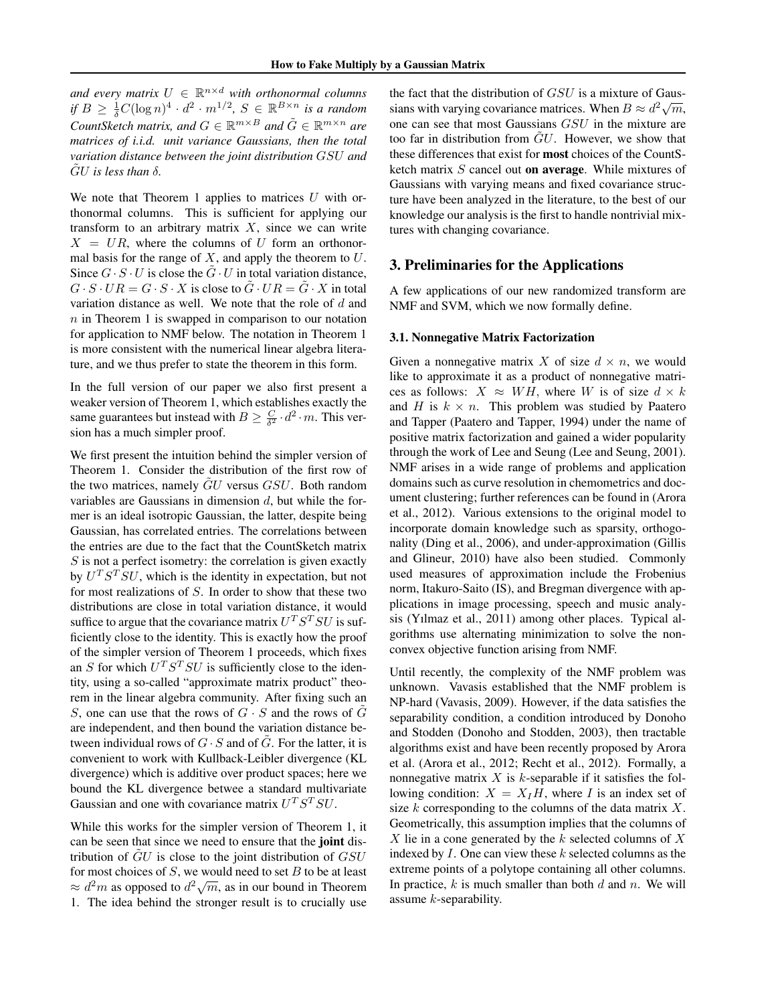and every matrix  $U \in \mathbb{R}^{n \times d}$  with orthonormal columns *if*  $B \ge \frac{1}{\delta}C(\log n)^4 \cdot d^2 \cdot m^{1/2}, S \in \mathbb{R}^{B \times n}$  *is a random CountSketch matrix, and*  $G \in \mathbb{R}^{m \times B}$  and  $\tilde{G} \in \mathbb{R}^{m \times n}$  are *matrices of i.i.d. unit variance Gaussians, then the total variation distance between the joint distribution* GSU *and* GU is less than  $\delta$ .

We note that Theorem 1 applies to matrices  $U$  with orthonormal columns. This is sufficient for applying our transform to an arbitrary matrix  $X$ , since we can write  $X = UR$ , where the columns of U form an orthonormal basis for the range of  $X$ , and apply the theorem to  $U$ . Since  $G \cdot S \cdot U$  is close the  $\tilde{G} \cdot U$  in total variation distance,  $G \cdot S \cdot UR = G \cdot S \cdot X$  is close to  $\tilde{G} \cdot UR = \tilde{G} \cdot X$  in total variation distance as well. We note that the role of d and  $n$  in Theorem 1 is swapped in comparison to our notation for application to NMF below. The notation in Theorem 1 is more consistent with the numerical linear algebra literature, and we thus prefer to state the theorem in this form.

In the full version of our paper we also first present a weaker version of Theorem 1, which establishes exactly the same guarantees but instead with  $B \ge \frac{C}{\delta^2} \cdot d^2 \cdot m$ . This version has a much simpler proof.

We first present the intuition behind the simpler version of Theorem 1. Consider the distribution of the first row of the two matrices, namely GU versus GSU. Both random variables are Gaussians in dimension  $d$ , but while the former is an ideal isotropic Gaussian, the latter, despite being Gaussian, has correlated entries. The correlations between the entries are due to the fact that the CountSketch matrix  $S$  is not a perfect isometry: the correlation is given exactly by  $U^T S^T SU$ , which is the identity in expectation, but not for most realizations of S. In order to show that these two distributions are close in total variation distance, it would suffice to argue that the covariance matrix  $U^T S^T S U$  is sufficiently close to the identity. This is exactly how the proof of the simpler version of Theorem 1 proceeds, which fixes an S for which  $U^T S^T SU$  is sufficiently close to the identity, using a so-called "approximate matrix product" theorem in the linear algebra community. After fixing such an S, one can use that the rows of  $G \cdot S$  and the rows of  $\tilde{G}$ are independent, and then bound the variation distance between individual rows of  $G \cdot S$  and of G. For the latter, it is convenient to work with Kullback-Leibler divergence (KL divergence) which is additive over product spaces; here we bound the KL divergence betwee a standard multivariate Gaussian and one with covariance matrix  $U^T S^T S U$ .

While this works for the simpler version of Theorem 1, it can be seen that since we need to ensure that the **joint** distribution of  $GU$  is close to the joint distribution of  $GSU$ for most choices of  $S$ , we would need to set  $B$  to be at least For most choices of  $\beta$ , we would held to set  $\beta$  to be at least  $\approx d^2m$  as opposed to  $d^2\sqrt{m}$ , as in our bound in Theorem 1. The idea behind the stronger result is to crucially use the fact that the distribution of  $GSU$  is a mixture of Gaussians with varying covariance matrices. When  $B \approx d^2 \sqrt{m}$ , one can see that most Gaussians GSU in the mixture are too far in distribution from  $\tilde{G}U$ . However, we show that these differences that exist for most choices of the CountSketch matrix  $S$  cancel out on average. While mixtures of Gaussians with varying means and fixed covariance structure have been analyzed in the literature, to the best of our knowledge our analysis is the first to handle nontrivial mixtures with changing covariance.

### 3. Preliminaries for the Applications

A few applications of our new randomized transform are NMF and SVM, which we now formally define.

#### 3.1. Nonnegative Matrix Factorization

Given a nonnegative matrix X of size  $d \times n$ , we would like to approximate it as a product of nonnegative matrices as follows:  $X \approx WH$ , where W is of size  $d \times k$ and H is  $k \times n$ . This problem was studied by Paatero and Tapper (Paatero and Tapper, 1994) under the name of positive matrix factorization and gained a wider popularity through the work of Lee and Seung (Lee and Seung, 2001). NMF arises in a wide range of problems and application domains such as curve resolution in chemometrics and document clustering; further references can be found in (Arora et al., 2012). Various extensions to the original model to incorporate domain knowledge such as sparsity, orthogonality (Ding et al., 2006), and under-approximation (Gillis and Glineur, 2010) have also been studied. Commonly used measures of approximation include the Frobenius norm, Itakuro-Saito (IS), and Bregman divergence with applications in image processing, speech and music analysis (Yılmaz et al., 2011) among other places. Typical algorithms use alternating minimization to solve the nonconvex objective function arising from NMF.

Until recently, the complexity of the NMF problem was unknown. Vavasis established that the NMF problem is NP-hard (Vavasis, 2009). However, if the data satisfies the separability condition, a condition introduced by Donoho and Stodden (Donoho and Stodden, 2003), then tractable algorithms exist and have been recently proposed by Arora et al. (Arora et al., 2012; Recht et al., 2012). Formally, a nonnegative matrix  $X$  is k-separable if it satisfies the following condition:  $X = X_I H$ , where I is an index set of size  $k$  corresponding to the columns of the data matrix  $X$ . Geometrically, this assumption implies that the columns of X lie in a cone generated by the k selected columns of X indexed by  $I$ . One can view these  $k$  selected columns as the extreme points of a polytope containing all other columns. In practice,  $k$  is much smaller than both  $d$  and  $n$ . We will assume  $k$ -separability.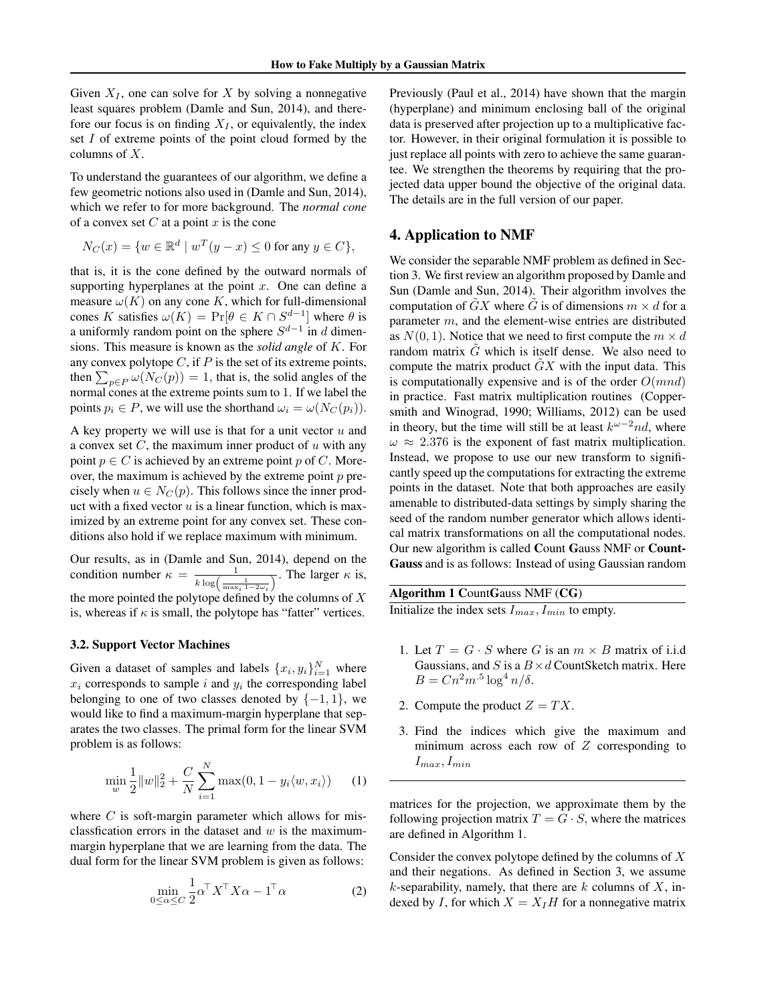Given  $X_I$ , one can solve for X by solving a nonnegative least squares problem (Damle and Sun, 2014), and therefore our focus is on finding  $X_I$ , or equivalently, the index set I of extreme points of the point cloud formed by the columns of X.

To understand the guarantees of our algorithm, we define a few geometric notions also used in (Damle and Sun, 2014), which we refer to for more background. The *normal cone* of a convex set  $C$  at a point  $x$  is the cone

$$
N_C(x) = \{ w \in \mathbb{R}^d \mid w^T(y - x) \le 0 \text{ for any } y \in C \},
$$

that is, it is the cone defined by the outward normals of supporting hyperplanes at the point  $x$ . One can define a measure  $\omega(K)$  on any cone K, which for full-dimensional cones K satisfies  $\omega(K) = \Pr[\theta \in K \cap S^{d-1}]$  where  $\theta$  is a uniformly random point on the sphere  $S^{d-1}$  in d dimensions. This measure is known as the *solid angle* of K. For any convex polytope  $C$ , if  $P$  is the set of its extreme points, then  $\sum_{p \in P} \omega(N_C(p)) = 1$ , that is, the solid angles of the normal cones at the extreme points sum to 1. If we label the points  $p_i \in P$ , we will use the shorthand  $\omega_i = \omega(N_C(p_i)).$ 

A key property we will use is that for a unit vector  $u$  and a convex set  $C$ , the maximum inner product of  $u$  with any point  $p \in C$  is achieved by an extreme point p of C. Moreover, the maximum is achieved by the extreme point  $p$  precisely when  $u \in N<sub>C</sub>(p)$ . This follows since the inner product with a fixed vector  $u$  is a linear function, which is maximized by an extreme point for any convex set. These conditions also hold if we replace maximum with minimum.

Our results, as in (Damle and Sun, 2014), depend on the condition number  $\kappa = \frac{1}{k \log \left( \frac{1}{\max_i 1 - 2\omega_i} \right)}$ . The larger  $\kappa$  is, the more pointed the polytope defined by the columns of  $X$ 

is, whereas if  $\kappa$  is small, the polytope has "fatter" vertices.

#### 3.2. Support Vector Machines

Given a dataset of samples and labels  $\{x_i, y_i\}_{i=1}^N$  where  $x_i$  corresponds to sample i and  $y_i$  the corresponding label belonging to one of two classes denoted by  $\{-1, 1\}$ , we would like to find a maximum-margin hyperplane that separates the two classes. The primal form for the linear SVM problem is as follows:

$$
\min_{w} \frac{1}{2} ||w||_2^2 + \frac{C}{N} \sum_{i=1}^{N} \max(0, 1 - y_i \langle w, x_i \rangle) \tag{1}
$$

where  $C$  is soft-margin parameter which allows for misclassfication errors in the dataset and  $w$  is the maximummargin hyperplane that we are learning from the data. The dual form for the linear SVM problem is given as follows:

$$
\min_{0 \le \alpha \le C} \frac{1}{2} \alpha^{\top} X^{\top} X \alpha - 1^{\top} \alpha \tag{2}
$$

Previously (Paul et al., 2014) have shown that the margin (hyperplane) and minimum enclosing ball of the original data is preserved after projection up to a multiplicative factor. However, in their original formulation it is possible to just replace all points with zero to achieve the same guarantee. We strengthen the theorems by requiring that the projected data upper bound the objective of the original data. The details are in the full version of our paper.

### 4. Application to NMF

We consider the separable NMF problem as defined in Section 3. We first review an algorithm proposed by Damle and Sun (Damle and Sun, 2014). Their algorithm involves the computation of  $\tilde{G}X$  where  $\tilde{G}$  is of dimensions  $m \times d$  for a parameter m, and the element-wise entries are distributed as  $N(0, 1)$ . Notice that we need to first compute the  $m \times d$ random matrix  $G$  which is itself dense. We also need to compute the matrix product  $GX$  with the input data. This is computationally expensive and is of the order  $O(mnd)$ in practice. Fast matrix multiplication routines (Coppersmith and Winograd, 1990; Williams, 2012) can be used in theory, but the time will still be at least  $k^{\omega-2}nd$ , where  $\omega \approx 2.376$  is the exponent of fast matrix multiplication. Instead, we propose to use our new transform to significantly speed up the computations for extracting the extreme points in the dataset. Note that both approaches are easily amenable to distributed-data settings by simply sharing the seed of the random number generator which allows identical matrix transformations on all the computational nodes. Our new algorithm is called Count Gauss NMF or Count-Gauss and is as follows: Instead of using Gaussian random

Algorithm 1 CountGauss NMF (CG) Initialize the index sets  $I_{max}$ ,  $\overline{I_{min}}$  to empty.

- 1. Let  $T = G \cdot S$  where G is an  $m \times B$  matrix of i.i.d Gaussians, and S is a  $B \times d$  CountSketch matrix. Here  $B = Cn^2m^{.5}\log^4 n/\delta.$
- 2. Compute the product  $Z = TX$ .
- 3. Find the indices which give the maximum and minimum across each row of  $Z$  corresponding to  $I_{max}, I_{min}$

matrices for the projection, we approximate them by the following projection matrix  $T = G \cdot S$ , where the matrices are defined in Algorithm 1.

Consider the convex polytope defined by the columns of  $X$ and their negations. As defined in Section 3, we assume k-separability, namely, that there are  $k$  columns of  $X$ , indexed by I, for which  $X = X_I H$  for a nonnegative matrix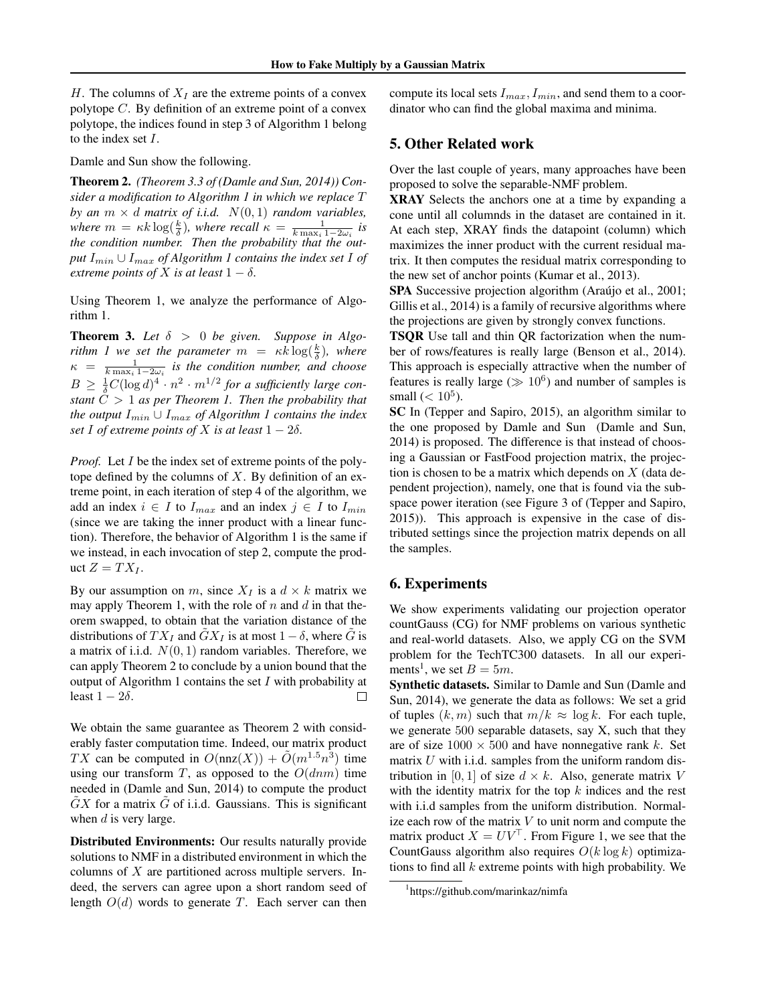H. The columns of  $X_I$  are the extreme points of a convex polytope  $C$ . By definition of an extreme point of a convex polytope, the indices found in step 3 of Algorithm 1 belong to the index set I.

Damle and Sun show the following.

Theorem 2. *(Theorem 3.3 of (Damle and Sun, 2014)) Consider a modification to Algorithm 1 in which we replace* T *by an*  $m \times d$  *matrix of i.i.d.*  $N(0, 1)$  *random variables, where*  $m = \kappa k \log(\frac{k}{\delta})$ , where recall  $\kappa = \frac{1}{k \max_i 1 - 2\omega_i}$  is *the condition number. Then the probability that the out* $p$ ut  $I_{min} \cup I_{max}$  *of Algorithm 1 contains the index set I of extreme points of* X *is at least*  $1 - \delta$ *.* 

Using Theorem 1, we analyze the performance of Algorithm 1.

**Theorem 3.** Let  $\delta > 0$  be given. Suppose in Algo*rithm 1 we set the parameter*  $m = \kappa k \log(\frac{k}{\delta})$ , where  $\kappa = \frac{1}{k \max_i 1 - 2\omega_i}$  is the condition number, and choose  $B \geq \frac{1}{\delta}C(\log d)^4 \cdot n^2 \cdot m^{1/2}$  for a sufficiently large con*stant*  $\tilde{C} > 1$  *as per Theorem 1. Then the probability that the output* Imin ∪ Imax *of Algorithm 1 contains the index set* I *of extreme points of* X *is at least*  $1 - 2\delta$ *.* 

*Proof.* Let I be the index set of extreme points of the polytope defined by the columns of  $X$ . By definition of an extreme point, in each iteration of step 4 of the algorithm, we add an index  $i \in I$  to  $I_{max}$  and an index  $j \in I$  to  $I_{min}$ (since we are taking the inner product with a linear function). Therefore, the behavior of Algorithm 1 is the same if we instead, in each invocation of step 2, compute the product  $Z = TX_I$ .

By our assumption on m, since  $X_I$  is a  $d \times k$  matrix we may apply Theorem 1, with the role of  $n$  and  $d$  in that theorem swapped, to obtain that the variation distance of the distributions of  $TX_I$  and  $\tilde{G}X_I$  is at most  $1-\delta$ , where  $\tilde{G}$  is a matrix of i.i.d.  $N(0, 1)$  random variables. Therefore, we can apply Theorem 2 to conclude by a union bound that the output of Algorithm 1 contains the set  $I$  with probability at least  $1 - 2\delta$ .  $\Box$ 

We obtain the same guarantee as Theorem 2 with considerably faster computation time. Indeed, our matrix product TX can be computed in  $O(\text{nnz}(X)) + \tilde{O}(m^{1.5}n^3)$  time using our transform T, as opposed to the  $O(dnm)$  time needed in (Damle and Sun, 2014) to compute the product  $GX$  for a matrix  $G$  of i.i.d. Gaussians. This is significant when  $d$  is very large.

Distributed Environments: Our results naturally provide solutions to NMF in a distributed environment in which the columns of  $X$  are partitioned across multiple servers. Indeed, the servers can agree upon a short random seed of length  $O(d)$  words to generate T. Each server can then

compute its local sets  $I_{max}, I_{min}$ , and send them to a coordinator who can find the global maxima and minima.

### 5. Other Related work

Over the last couple of years, many approaches have been proposed to solve the separable-NMF problem.

XRAY Selects the anchors one at a time by expanding a cone until all columnds in the dataset are contained in it. At each step, XRAY finds the datapoint (column) which maximizes the inner product with the current residual matrix. It then computes the residual matrix corresponding to the new set of anchor points (Kumar et al., 2013).

SPA Successive projection algorithm (Araújo et al., 2001; Gillis et al., 2014) is a family of recursive algorithms where the projections are given by strongly convex functions.

TSQR Use tall and thin QR factorization when the number of rows/features is really large (Benson et al., 2014). This approach is especially attractive when the number of features is really large ( $\gg 10^6$ ) and number of samples is small  $(< 10<sup>5</sup>)$ .

SC In (Tepper and Sapiro, 2015), an algorithm similar to the one proposed by Damle and Sun (Damle and Sun, 2014) is proposed. The difference is that instead of choosing a Gaussian or FastFood projection matrix, the projection is chosen to be a matrix which depends on  $X$  (data dependent projection), namely, one that is found via the subspace power iteration (see Figure 3 of (Tepper and Sapiro, 2015)). This approach is expensive in the case of distributed settings since the projection matrix depends on all the samples.

### 6. Experiments

We show experiments validating our projection operator countGauss (CG) for NMF problems on various synthetic and real-world datasets. Also, we apply CG on the SVM problem for the TechTC300 datasets. In all our experiments<sup>1</sup>, we set  $B = 5m$ .

Synthetic datasets. Similar to Damle and Sun (Damle and Sun, 2014), we generate the data as follows: We set a grid of tuples  $(k, m)$  such that  $m/k \approx \log k$ . For each tuple, we generate 500 separable datasets, say X, such that they are of size  $1000 \times 500$  and have nonnegative rank k. Set matrix  $U$  with i.i.d. samples from the uniform random distribution in [0, 1] of size  $d \times k$ . Also, generate matrix V with the identity matrix for the top  $k$  indices and the rest with i.i.d samples from the uniform distribution. Normalize each row of the matrix  $V$  to unit norm and compute the matrix product  $X = UV^{\top}$ . From Figure 1, we see that the CountGauss algorithm also requires  $O(k \log k)$  optimizations to find all  $k$  extreme points with high probability. We

<sup>1</sup> https://github.com/marinkaz/nimfa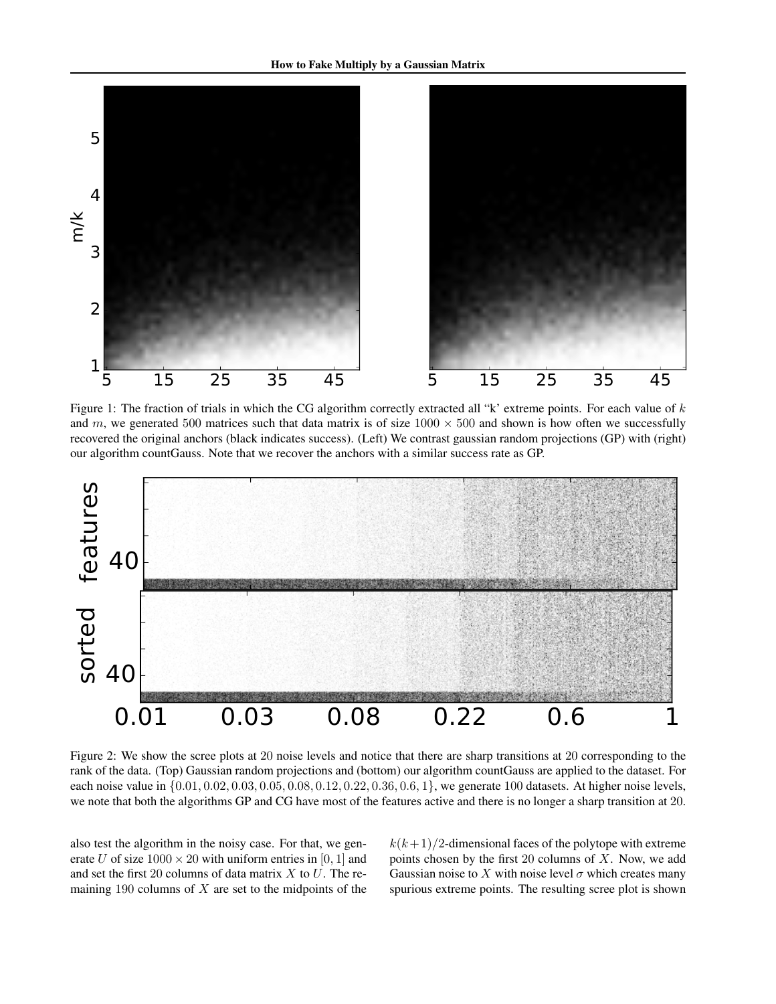

Figure 1: The fraction of trials in which the CG algorithm correctly extracted all "k' extreme points. For each value of  $k$ and m, we generated 500 matrices such that data matrix is of size  $1000 \times 500$  and shown is how often we successfully recovered the original anchors (black indicates success). (Left) We contrast gaussian random projections (GP) with (right) our algorithm countGauss. Note that we recover the anchors with a similar success rate as GP.



Figure 2: We show the scree plots at 20 noise levels and notice that there are sharp transitions at 20 corresponding to the rank of the data. (Top) Gaussian random projections and (bottom) our algorithm countGauss are applied to the dataset. For each noise value in {0.01, 0.02, 0.03, 0.05, 0.08, 0.12, 0.22, 0.36, 0.6, 1}, we generate 100 datasets. At higher noise levels, we note that both the algorithms GP and CG have most of the features active and there is no longer a sharp transition at 20.

also test the algorithm in the noisy case. For that, we generate U of size  $1000 \times 20$  with uniform entries in [0, 1] and and set the first 20 columns of data matrix  $X$  to  $U$ . The remaining 190 columns of  $X$  are set to the midpoints of the  $k(k+1)/2$ -dimensional faces of the polytope with extreme points chosen by the first 20 columns of  $X$ . Now, we add Gaussian noise to X with noise level  $\sigma$  which creates many spurious extreme points. The resulting scree plot is shown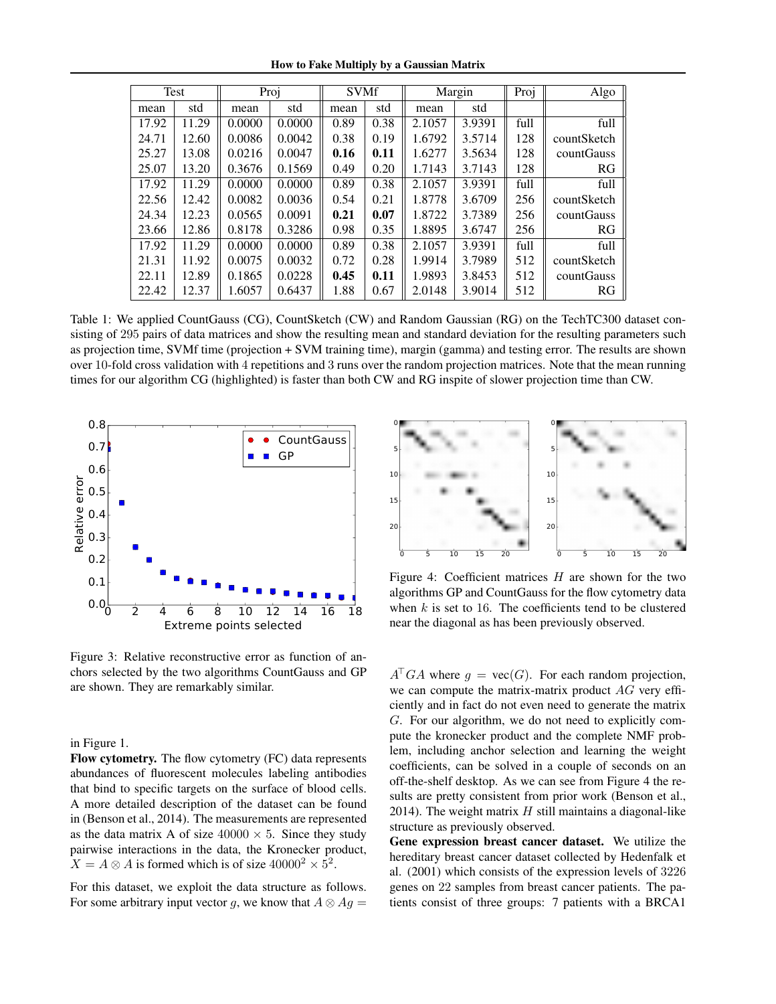How to Fake Multiply by a Gaussian Matrix

| Test  |       | Proj   |        | <b>SVMf</b> |      | Margin |        | Proj | Algo        |
|-------|-------|--------|--------|-------------|------|--------|--------|------|-------------|
| mean  | std   | mean   | std    | mean        | std  | mean   | std    |      |             |
| 17.92 | 11.29 | 0.0000 | 0.0000 | 0.89        | 0.38 | 2.1057 | 3.9391 | full | full        |
| 24.71 | 12.60 | 0.0086 | 0.0042 | 0.38        | 0.19 | 1.6792 | 3.5714 | 128  | countSketch |
| 25.27 | 13.08 | 0.0216 | 0.0047 | 0.16        | 0.11 | 1.6277 | 3.5634 | 128  | countGauss  |
| 25.07 | 13.20 | 0.3676 | 0.1569 | 0.49        | 0.20 | 1.7143 | 3.7143 | 128  | RG          |
| 17.92 | 11.29 | 0.0000 | 0.0000 | 0.89        | 0.38 | 2.1057 | 3.9391 | full | full        |
| 22.56 | 12.42 | 0.0082 | 0.0036 | 0.54        | 0.21 | 1.8778 | 3.6709 | 256  | countSketch |
| 24.34 | 12.23 | 0.0565 | 0.0091 | 0.21        | 0.07 | 1.8722 | 3.7389 | 256  | countGauss  |
| 23.66 | 12.86 | 0.8178 | 0.3286 | 0.98        | 0.35 | 1.8895 | 3.6747 | 256  | RG          |
| 17.92 | 11.29 | 0.0000 | 0.0000 | 0.89        | 0.38 | 2.1057 | 3.9391 | full | full        |
| 21.31 | 11.92 | 0.0075 | 0.0032 | 0.72        | 0.28 | 1.9914 | 3.7989 | 512  | countSketch |
| 22.11 | 12.89 | 0.1865 | 0.0228 | 0.45        | 0.11 | 1.9893 | 3.8453 | 512  | countGauss  |
| 22.42 | 12.37 | 1.6057 | 0.6437 | 1.88        | 0.67 | 2.0148 | 3.9014 | 512  | RG          |

Table 1: We applied CountGauss (CG), CountSketch (CW) and Random Gaussian (RG) on the TechTC300 dataset consisting of 295 pairs of data matrices and show the resulting mean and standard deviation for the resulting parameters such as projection time, SVMf time (projection + SVM training time), margin (gamma) and testing error. The results are shown over 10-fold cross validation with 4 repetitions and 3 runs over the random projection matrices. Note that the mean running times for our algorithm CG (highlighted) is faster than both CW and RG inspite of slower projection time than CW.



Figure 3: Relative reconstructive error as function of anchors selected by the two algorithms CountGauss and GP are shown. They are remarkably similar.

in Figure 1.

Flow cytometry. The flow cytometry (FC) data represents abundances of fluorescent molecules labeling antibodies that bind to specific targets on the surface of blood cells. A more detailed description of the dataset can be found in (Benson et al., 2014). The measurements are represented as the data matrix A of size  $40000 \times 5$ . Since they study pairwise interactions in the data, the Kronecker product,  $X = A \otimes A$  is formed which is of size  $40000^2 \times 5^2$ .

For this dataset, we exploit the data structure as follows. For some arbitrary input vector g, we know that  $A \otimes Ag =$ 



Figure 4: Coefficient matrices  $H$  are shown for the two algorithms GP and CountGauss for the flow cytometry data when  $k$  is set to 16. The coefficients tend to be clustered near the diagonal as has been previously observed.

 $A^{\mathsf{T}}GA$  where  $g = \text{vec}(G)$ . For each random projection, we can compute the matrix-matrix product AG very efficiently and in fact do not even need to generate the matrix G. For our algorithm, we do not need to explicitly compute the kronecker product and the complete NMF problem, including anchor selection and learning the weight coefficients, can be solved in a couple of seconds on an off-the-shelf desktop. As we can see from Figure 4 the results are pretty consistent from prior work (Benson et al., 2014). The weight matrix  $H$  still maintains a diagonal-like structure as previously observed.

Gene expression breast cancer dataset. We utilize the hereditary breast cancer dataset collected by Hedenfalk et al. (2001) which consists of the expression levels of 3226 genes on 22 samples from breast cancer patients. The patients consist of three groups: 7 patients with a BRCA1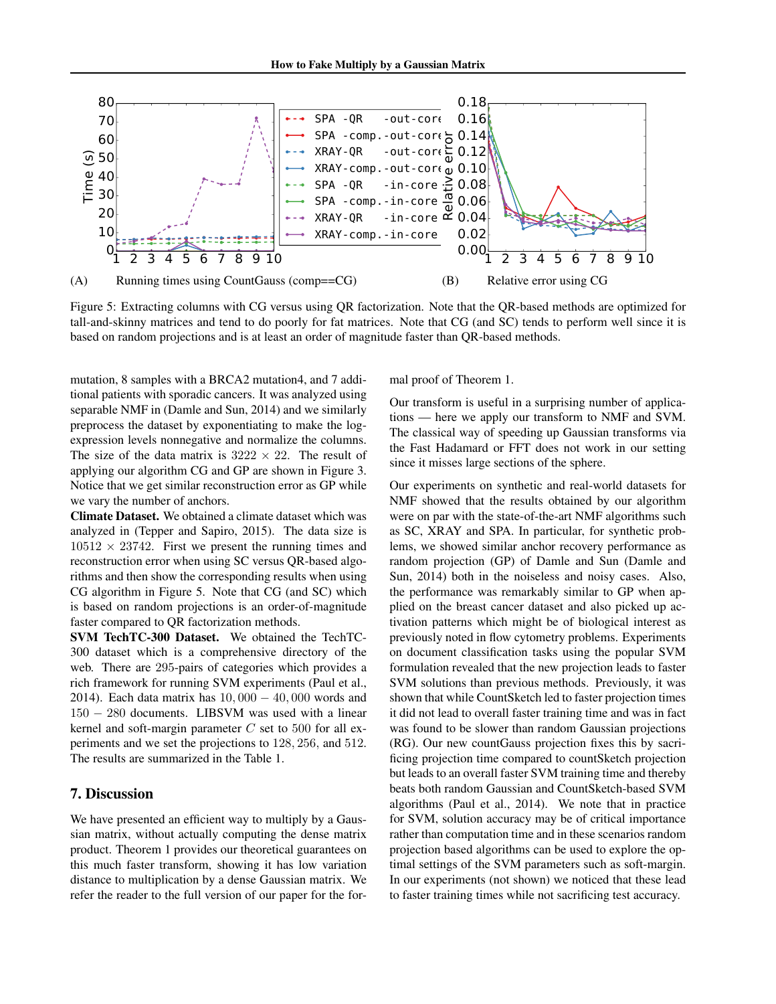

Figure 5: Extracting columns with CG versus using QR factorization. Note that the QR-based methods are optimized for tall-and-skinny matrices and tend to do poorly for fat matrices. Note that CG (and SC) tends to perform well since it is based on random projections and is at least an order of magnitude faster than QR-based methods.

mutation, 8 samples with a BRCA2 mutation4, and 7 additional patients with sporadic cancers. It was analyzed using separable NMF in (Damle and Sun, 2014) and we similarly preprocess the dataset by exponentiating to make the logexpression levels nonnegative and normalize the columns. The size of the data matrix is  $3222 \times 22$ . The result of applying our algorithm CG and GP are shown in Figure 3. Notice that we get similar reconstruction error as GP while we vary the number of anchors.

Climate Dataset. We obtained a climate dataset which was analyzed in (Tepper and Sapiro, 2015). The data size is  $10512 \times 23742$ . First we present the running times and reconstruction error when using SC versus QR-based algorithms and then show the corresponding results when using CG algorithm in Figure 5. Note that CG (and SC) which is based on random projections is an order-of-magnitude faster compared to QR factorization methods.

SVM TechTC-300 Dataset. We obtained the TechTC-300 dataset which is a comprehensive directory of the web. There are 295-pairs of categories which provides a rich framework for running SVM experiments (Paul et al., 2014). Each data matrix has  $10,000 - 40,000$  words and 150 − 280 documents. LIBSVM was used with a linear kernel and soft-margin parameter  $C$  set to 500 for all experiments and we set the projections to 128, 256, and 512. The results are summarized in the Table 1.

# 7. Discussion

We have presented an efficient way to multiply by a Gaussian matrix, without actually computing the dense matrix product. Theorem 1 provides our theoretical guarantees on this much faster transform, showing it has low variation distance to multiplication by a dense Gaussian matrix. We refer the reader to the full version of our paper for the formal proof of Theorem 1.

Our transform is useful in a surprising number of applications — here we apply our transform to NMF and SVM. The classical way of speeding up Gaussian transforms via the Fast Hadamard or FFT does not work in our setting since it misses large sections of the sphere.

Our experiments on synthetic and real-world datasets for NMF showed that the results obtained by our algorithm were on par with the state-of-the-art NMF algorithms such as SC, XRAY and SPA. In particular, for synthetic problems, we showed similar anchor recovery performance as random projection (GP) of Damle and Sun (Damle and Sun, 2014) both in the noiseless and noisy cases. Also, the performance was remarkably similar to GP when applied on the breast cancer dataset and also picked up activation patterns which might be of biological interest as previously noted in flow cytometry problems. Experiments on document classification tasks using the popular SVM formulation revealed that the new projection leads to faster SVM solutions than previous methods. Previously, it was shown that while CountSketch led to faster projection times it did not lead to overall faster training time and was in fact was found to be slower than random Gaussian projections (RG). Our new countGauss projection fixes this by sacrificing projection time compared to countSketch projection but leads to an overall faster SVM training time and thereby beats both random Gaussian and CountSketch-based SVM algorithms (Paul et al., 2014). We note that in practice for SVM, solution accuracy may be of critical importance rather than computation time and in these scenarios random projection based algorithms can be used to explore the optimal settings of the SVM parameters such as soft-margin. In our experiments (not shown) we noticed that these lead to faster training times while not sacrificing test accuracy.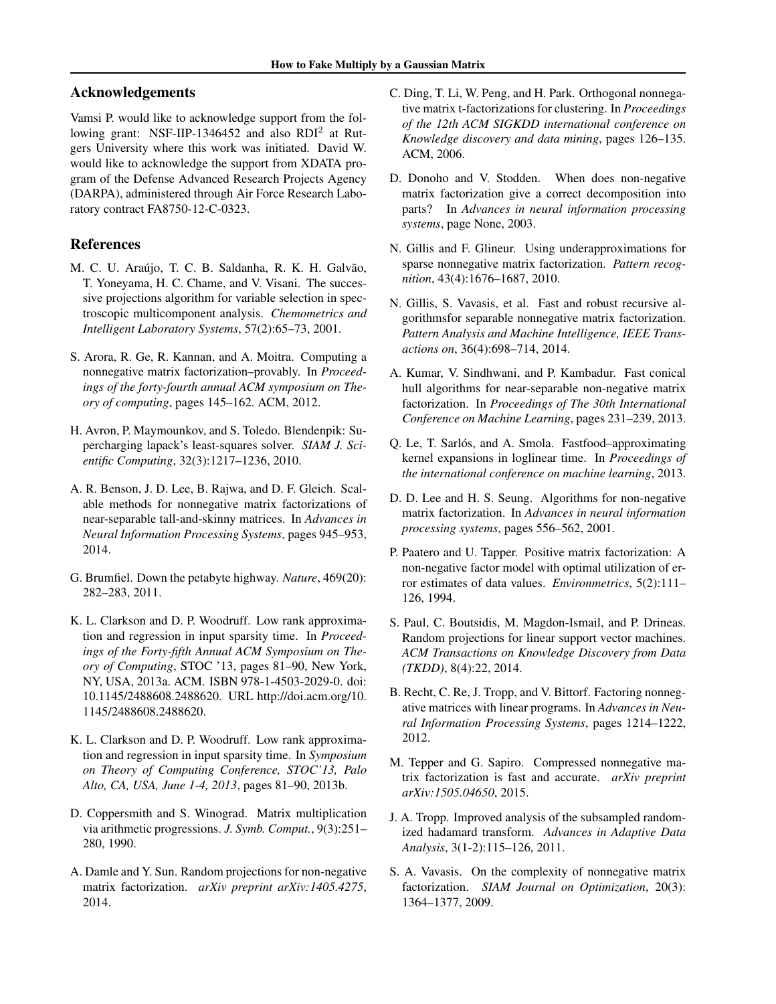# Acknowledgements

Vamsi P. would like to acknowledge support from the following grant: NSF-IIP-1346452 and also RDI<sup>2</sup> at Rutgers University where this work was initiated. David W. would like to acknowledge the support from XDATA program of the Defense Advanced Research Projects Agency (DARPA), administered through Air Force Research Laboratory contract FA8750-12-C-0323.

### References

- M. C. U. Araújo, T. C. B. Saldanha, R. K. H. Galvão, T. Yoneyama, H. C. Chame, and V. Visani. The successive projections algorithm for variable selection in spectroscopic multicomponent analysis. *Chemometrics and Intelligent Laboratory Systems*, 57(2):65–73, 2001.
- S. Arora, R. Ge, R. Kannan, and A. Moitra. Computing a nonnegative matrix factorization–provably. In *Proceedings of the forty-fourth annual ACM symposium on Theory of computing*, pages 145–162. ACM, 2012.
- H. Avron, P. Maymounkov, and S. Toledo. Blendenpik: Supercharging lapack's least-squares solver. *SIAM J. Scientific Computing*, 32(3):1217–1236, 2010.
- A. R. Benson, J. D. Lee, B. Rajwa, and D. F. Gleich. Scalable methods for nonnegative matrix factorizations of near-separable tall-and-skinny matrices. In *Advances in Neural Information Processing Systems*, pages 945–953, 2014.
- G. Brumfiel. Down the petabyte highway. *Nature*, 469(20): 282–283, 2011.
- K. L. Clarkson and D. P. Woodruff. Low rank approximation and regression in input sparsity time. In *Proceedings of the Forty-fifth Annual ACM Symposium on Theory of Computing*, STOC '13, pages 81–90, New York, NY, USA, 2013a. ACM. ISBN 978-1-4503-2029-0. doi: 10.1145/2488608.2488620. URL http://doi.acm.org/10. 1145/2488608.2488620.
- K. L. Clarkson and D. P. Woodruff. Low rank approximation and regression in input sparsity time. In *Symposium on Theory of Computing Conference, STOC'13, Palo Alto, CA, USA, June 1-4, 2013*, pages 81–90, 2013b.
- D. Coppersmith and S. Winograd. Matrix multiplication via arithmetic progressions. *J. Symb. Comput.*, 9(3):251– 280, 1990.
- A. Damle and Y. Sun. Random projections for non-negative matrix factorization. *arXiv preprint arXiv:1405.4275*, 2014.
- C. Ding, T. Li, W. Peng, and H. Park. Orthogonal nonnegative matrix t-factorizations for clustering. In *Proceedings of the 12th ACM SIGKDD international conference on Knowledge discovery and data mining*, pages 126–135. ACM, 2006.
- D. Donoho and V. Stodden. When does non-negative matrix factorization give a correct decomposition into parts? In *Advances in neural information processing systems*, page None, 2003.
- N. Gillis and F. Glineur. Using underapproximations for sparse nonnegative matrix factorization. *Pattern recognition*, 43(4):1676–1687, 2010.
- N. Gillis, S. Vavasis, et al. Fast and robust recursive algorithmsfor separable nonnegative matrix factorization. *Pattern Analysis and Machine Intelligence, IEEE Transactions on*, 36(4):698–714, 2014.
- A. Kumar, V. Sindhwani, and P. Kambadur. Fast conical hull algorithms for near-separable non-negative matrix factorization. In *Proceedings of The 30th International Conference on Machine Learning*, pages 231–239, 2013.
- Q. Le, T. Sarlós, and A. Smola. Fastfood–approximating kernel expansions in loglinear time. In *Proceedings of the international conference on machine learning*, 2013.
- D. D. Lee and H. S. Seung. Algorithms for non-negative matrix factorization. In *Advances in neural information processing systems*, pages 556–562, 2001.
- P. Paatero and U. Tapper. Positive matrix factorization: A non-negative factor model with optimal utilization of error estimates of data values. *Environmetrics*, 5(2):111– 126, 1994.
- S. Paul, C. Boutsidis, M. Magdon-Ismail, and P. Drineas. Random projections for linear support vector machines. *ACM Transactions on Knowledge Discovery from Data (TKDD)*, 8(4):22, 2014.
- B. Recht, C. Re, J. Tropp, and V. Bittorf. Factoring nonnegative matrices with linear programs. In *Advances in Neural Information Processing Systems*, pages 1214–1222, 2012.
- M. Tepper and G. Sapiro. Compressed nonnegative matrix factorization is fast and accurate. *arXiv preprint arXiv:1505.04650*, 2015.
- J. A. Tropp. Improved analysis of the subsampled randomized hadamard transform. *Advances in Adaptive Data Analysis*, 3(1-2):115–126, 2011.
- S. A. Vavasis. On the complexity of nonnegative matrix factorization. *SIAM Journal on Optimization*, 20(3): 1364–1377, 2009.